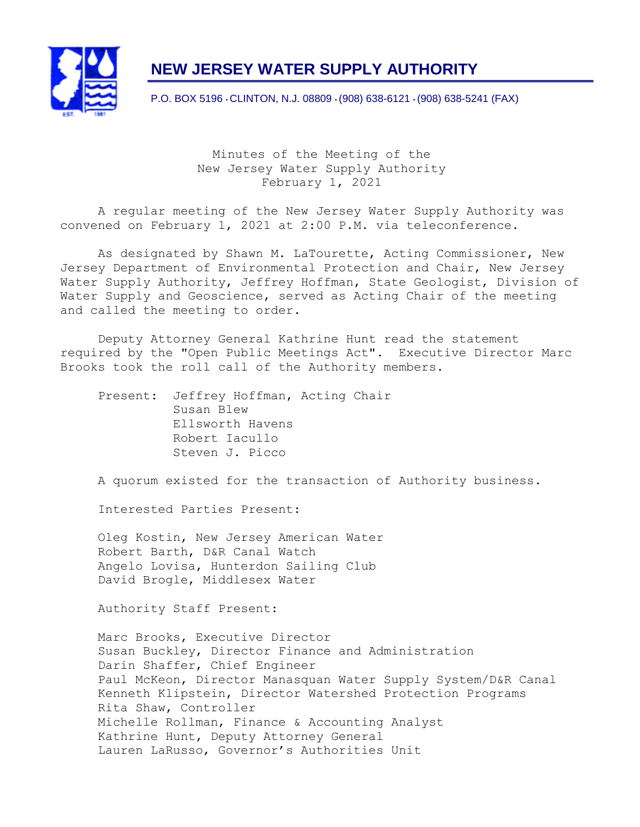

# **NEW JERSEY WATER SUPPLY AUTHORITY**

P.O. BOX 5196 • CLINTON, N.J. 08809 • (908) 638-6121 • (908) 638-5241 (FAX)

Minutes of the Meeting of the New Jersey Water Supply Authority February 1, 2021

A regular meeting of the New Jersey Water Supply Authority was convened on February 1, 2021 at 2:00 P.M. via teleconference.

As designated by Shawn M. LaTourette, Acting Commissioner, New Jersey Department of Environmental Protection and Chair, New Jersey Water Supply Authority, Jeffrey Hoffman, State Geologist, Division of Water Supply and Geoscience, served as Acting Chair of the meeting and called the meeting to order.

Deputy Attorney General Kathrine Hunt read the statement required by the "Open Public Meetings Act". Executive Director Marc Brooks took the roll call of the Authority members.

Present: Jeffrey Hoffman, Acting Chair Susan Blew Ellsworth Havens Robert Iacullo Steven J. Picco

A quorum existed for the transaction of Authority business.

Interested Parties Present:

Oleg Kostin, New Jersey American Water Robert Barth, D&R Canal Watch Angelo Lovisa, Hunterdon Sailing Club David Brogle, Middlesex Water

Authority Staff Present:

Marc Brooks, Executive Director Susan Buckley, Director Finance and Administration Darin Shaffer, Chief Engineer Paul McKeon, Director Manasquan Water Supply System/D&R Canal Kenneth Klipstein, Director Watershed Protection Programs Rita Shaw, Controller Michelle Rollman, Finance & Accounting Analyst Kathrine Hunt, Deputy Attorney General Lauren LaRusso, Governor's Authorities Unit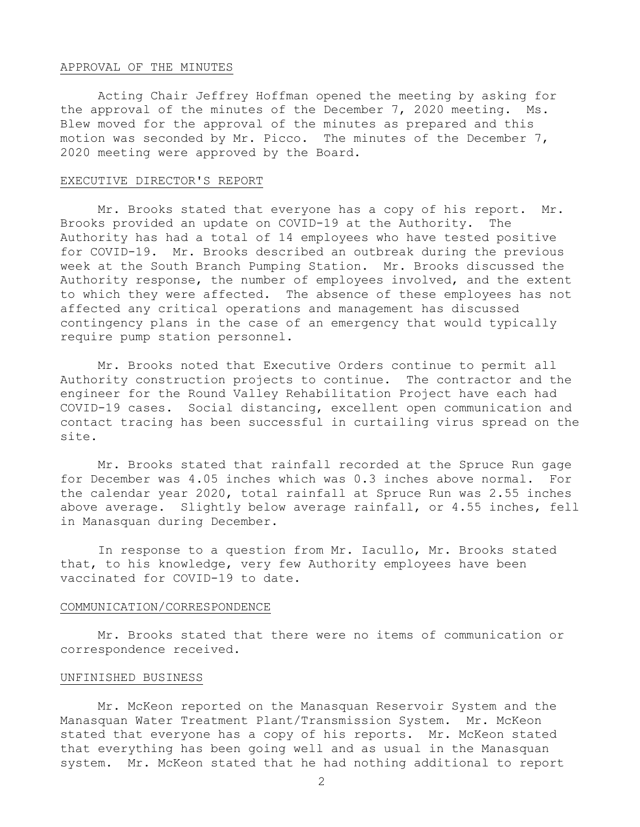#### APPROVAL OF THE MINUTES

Acting Chair Jeffrey Hoffman opened the meeting by asking for the approval of the minutes of the December 7, 2020 meeting. Ms. Blew moved for the approval of the minutes as prepared and this motion was seconded by Mr. Picco. The minutes of the December 7, 2020 meeting were approved by the Board.

#### EXECUTIVE DIRECTOR'S REPORT

Mr. Brooks stated that everyone has a copy of his report. Mr. Brooks provided an update on COVID-19 at the Authority. The Authority has had a total of 14 employees who have tested positive for COVID-19. Mr. Brooks described an outbreak during the previous week at the South Branch Pumping Station. Mr. Brooks discussed the Authority response, the number of employees involved, and the extent to which they were affected. The absence of these employees has not affected any critical operations and management has discussed contingency plans in the case of an emergency that would typically require pump station personnel.

Mr. Brooks noted that Executive Orders continue to permit all Authority construction projects to continue. The contractor and the engineer for the Round Valley Rehabilitation Project have each had COVID-19 cases. Social distancing, excellent open communication and contact tracing has been successful in curtailing virus spread on the site.

Mr. Brooks stated that rainfall recorded at the Spruce Run gage for December was 4.05 inches which was 0.3 inches above normal. For the calendar year 2020, total rainfall at Spruce Run was 2.55 inches above average. Slightly below average rainfall, or 4.55 inches, fell in Manasquan during December.

In response to a question from Mr. Iacullo, Mr. Brooks stated that, to his knowledge, very few Authority employees have been vaccinated for COVID-19 to date.

#### COMMUNICATION/CORRESPONDENCE

Mr. Brooks stated that there were no items of communication or correspondence received.

# UNFINISHED BUSINESS

Mr. McKeon reported on the Manasquan Reservoir System and the Manasquan Water Treatment Plant/Transmission System. Mr. McKeon stated that everyone has a copy of his reports. Mr. McKeon stated that everything has been going well and as usual in the Manasquan system. Mr. McKeon stated that he had nothing additional to report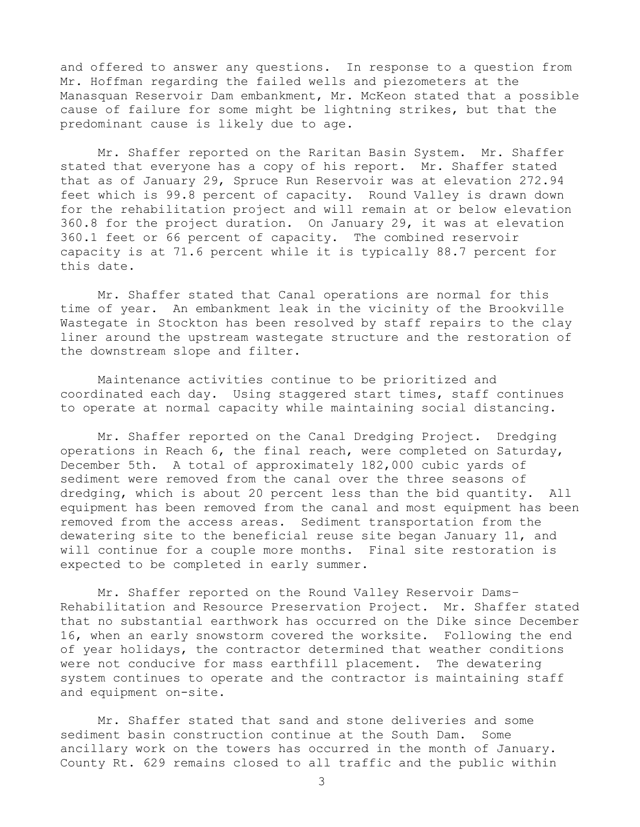and offered to answer any questions. In response to a question from Mr. Hoffman regarding the failed wells and piezometers at the Manasquan Reservoir Dam embankment, Mr. McKeon stated that a possible cause of failure for some might be lightning strikes, but that the predominant cause is likely due to age.

Mr. Shaffer reported on the Raritan Basin System. Mr. Shaffer stated that everyone has a copy of his report. Mr. Shaffer stated that as of January 29, Spruce Run Reservoir was at elevation 272.94 feet which is 99.8 percent of capacity. Round Valley is drawn down for the rehabilitation project and will remain at or below elevation 360.8 for the project duration. On January 29, it was at elevation 360.1 feet or 66 percent of capacity. The combined reservoir capacity is at 71.6 percent while it is typically 88.7 percent for this date.

Mr. Shaffer stated that Canal operations are normal for this time of year. An embankment leak in the vicinity of the Brookville Wastegate in Stockton has been resolved by staff repairs to the clay liner around the upstream wastegate structure and the restoration of the downstream slope and filter.

Maintenance activities continue to be prioritized and coordinated each day. Using staggered start times, staff continues to operate at normal capacity while maintaining social distancing.

Mr. Shaffer reported on the Canal Dredging Project. Dredging operations in Reach 6, the final reach, were completed on Saturday, December 5th. A total of approximately 182,000 cubic yards of sediment were removed from the canal over the three seasons of dredging, which is about 20 percent less than the bid quantity. All equipment has been removed from the canal and most equipment has been removed from the access areas. Sediment transportation from the dewatering site to the beneficial reuse site began January 11, and will continue for a couple more months. Final site restoration is expected to be completed in early summer.

Mr. Shaffer reported on the Round Valley Reservoir Dams– Rehabilitation and Resource Preservation Project.Mr. Shaffer stated that no substantial earthwork has occurred on the Dike since December 16, when an early snowstorm covered the worksite. Following the end of year holidays, the contractor determined that weather conditions were not conducive for mass earthfill placement. The dewatering system continues to operate and the contractor is maintaining staff and equipment on-site.

Mr. Shaffer stated that sand and stone deliveries and some sediment basin construction continue at the South Dam. Some ancillary work on the towers has occurred in the month of January. County Rt. 629 remains closed to all traffic and the public within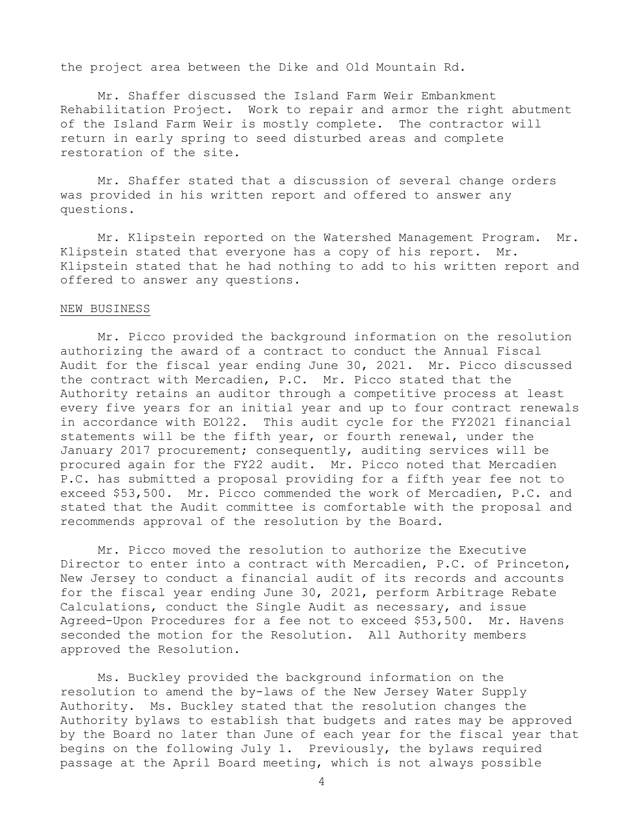the project area between the Dike and Old Mountain Rd.

Mr. Shaffer discussed the Island Farm Weir Embankment Rehabilitation Project. Work to repair and armor the right abutment of the Island Farm Weir is mostly complete. The contractor will return in early spring to seed disturbed areas and complete restoration of the site.

Mr. Shaffer stated that a discussion of several change orders was provided in his written report and offered to answer any questions.

Mr. Klipstein reported on the Watershed Management Program. Mr. Klipstein stated that everyone has a copy of his report. Mr. Klipstein stated that he had nothing to add to his written report and offered to answer any questions.

## NEW BUSINESS

Mr. Picco provided the background information on the resolution authorizing the award of a contract to conduct the Annual Fiscal Audit for the fiscal year ending June 30, 2021. Mr. Picco discussed the contract with Mercadien, P.C. Mr. Picco stated that the Authority retains an auditor through a competitive process at least every five years for an initial year and up to four contract renewals in accordance with EO122. This audit cycle for the FY2021 financial statements will be the fifth year, or fourth renewal, under the January 2017 procurement; consequently, auditing services will be procured again for the FY22 audit. Mr. Picco noted that Mercadien P.C. has submitted a proposal providing for a fifth year fee not to exceed \$53,500. Mr. Picco commended the work of Mercadien, P.C. and stated that the Audit committee is comfortable with the proposal and recommends approval of the resolution by the Board.

Mr. Picco moved the resolution to authorize the Executive Director to enter into a contract with Mercadien, P.C. of Princeton, New Jersey to conduct a financial audit of its records and accounts for the fiscal year ending June 30, 2021, perform Arbitrage Rebate Calculations, conduct the Single Audit as necessary, and issue Agreed-Upon Procedures for a fee not to exceed \$53,500. Mr. Havens seconded the motion for the Resolution. All Authority members approved the Resolution.

Ms. Buckley provided the background information on the resolution to amend the by-laws of the New Jersey Water Supply Authority. Ms. Buckley stated that the resolution changes the Authority bylaws to establish that budgets and rates may be approved by the Board no later than June of each year for the fiscal year that begins on the following July 1. Previously, the bylaws required passage at the April Board meeting, which is not always possible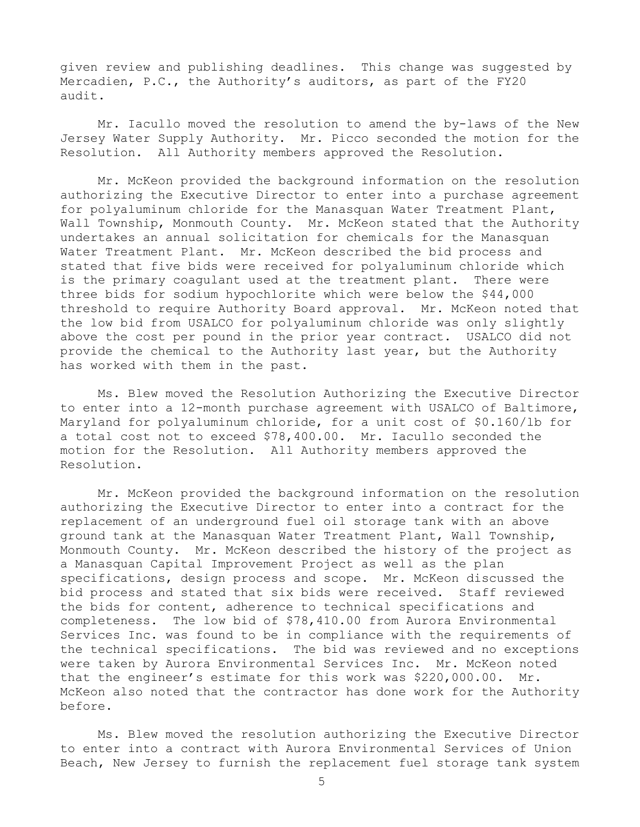given review and publishing deadlines. This change was suggested by Mercadien, P.C., the Authority's auditors, as part of the FY20 audit.

Mr. Iacullo moved the resolution to amend the by-laws of the New Jersey Water Supply Authority. Mr. Picco seconded the motion for the Resolution. All Authority members approved the Resolution.

Mr. McKeon provided the background information on the resolution authorizing the Executive Director to enter into a purchase agreement for polyaluminum chloride for the Manasquan Water Treatment Plant, Wall Township, Monmouth County. Mr. McKeon stated that the Authority undertakes an annual solicitation for chemicals for the Manasquan Water Treatment Plant. Mr. McKeon described the bid process and stated that five bids were received for polyaluminum chloride which is the primary coagulant used at the treatment plant. There were three bids for sodium hypochlorite which were below the \$44,000 threshold to require Authority Board approval. Mr. McKeon noted that the low bid from USALCO for polyaluminum chloride was only slightly above the cost per pound in the prior year contract. USALCO did not provide the chemical to the Authority last year, but the Authority has worked with them in the past.

Ms. Blew moved the Resolution Authorizing the Executive Director to enter into a 12-month purchase agreement with USALCO of Baltimore, Maryland for polyaluminum chloride, for a unit cost of \$0.160/lb for a total cost not to exceed \$78,400.00. Mr. Iacullo seconded the motion for the Resolution. All Authority members approved the Resolution.

Mr. McKeon provided the background information on the resolution authorizing the Executive Director to enter into a contract for the replacement of an underground fuel oil storage tank with an above ground tank at the Manasquan Water Treatment Plant, Wall Township, Monmouth County. Mr. McKeon described the history of the project as a Manasquan Capital Improvement Project as well as the plan specifications, design process and scope. Mr. McKeon discussed the bid process and stated that six bids were received. Staff reviewed the bids for content, adherence to technical specifications and completeness. The low bid of \$78,410.00 from Aurora Environmental Services Inc. was found to be in compliance with the requirements of the technical specifications. The bid was reviewed and no exceptions were taken by Aurora Environmental Services Inc. Mr. McKeon noted that the engineer's estimate for this work was \$220,000.00. Mr. McKeon also noted that the contractor has done work for the Authority before.

Ms. Blew moved the resolution authorizing the Executive Director to enter into a contract with Aurora Environmental Services of Union Beach, New Jersey to furnish the replacement fuel storage tank system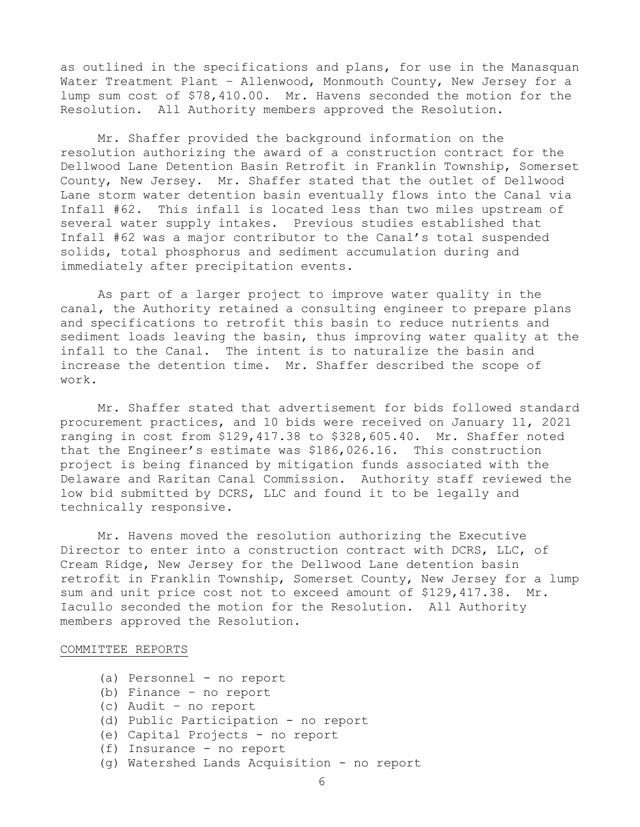as outlined in the specifications and plans, for use in the Manasquan Water Treatment Plant – Allenwood, Monmouth County, New Jersey for a lump sum cost of \$78,410.00. Mr. Havens seconded the motion for the Resolution. All Authority members approved the Resolution.

Mr. Shaffer provided the background information on the resolution authorizing the award of a construction contract for the Dellwood Lane Detention Basin Retrofit in Franklin Township, Somerset County, New Jersey. Mr. Shaffer stated that the outlet of Dellwood Lane storm water detention basin eventually flows into the Canal via Infall #62. This infall is located less than two miles upstream of several water supply intakes. Previous studies established that Infall #62 was a major contributor to the Canal's total suspended solids, total phosphorus and sediment accumulation during and immediately after precipitation events.

As part of a larger project to improve water quality in the canal, the Authority retained a consulting engineer to prepare plans and specifications to retrofit this basin to reduce nutrients and sediment loads leaving the basin, thus improving water quality at the infall to the Canal. The intent is to naturalize the basin and increase the detention time. Mr. Shaffer described the scope of work.

Mr. Shaffer stated that advertisement for bids followed standard procurement practices, and 10 bids were received on January 11, 2021 ranging in cost from \$129,417.38 to \$328,605.40. Mr. Shaffer noted that the Engineer's estimate was \$186,026.16. This construction project is being financed by mitigation funds associated with the Delaware and Raritan Canal Commission. Authority staff reviewed the low bid submitted by DCRS, LLC and found it to be legally and technically responsive.

Mr. Havens moved the resolution authorizing the Executive Director to enter into a construction contract with DCRS, LLC, of Cream Ridge, New Jersey for the Dellwood Lane detention basin retrofit in Franklin Township, Somerset County, New Jersey for a lump sum and unit price cost not to exceed amount of \$129,417.38. Mr. Iacullo seconded the motion for the Resolution. All Authority members approved the Resolution.

## COMMITTEE REPORTS

- (a) Personnel no report
- (b) Finance no report
- (c) Audit no report
- (d) Public Participation no report
- (e) Capital Projects no report
- (f) Insurance no report
- (g) Watershed Lands Acquisition no report